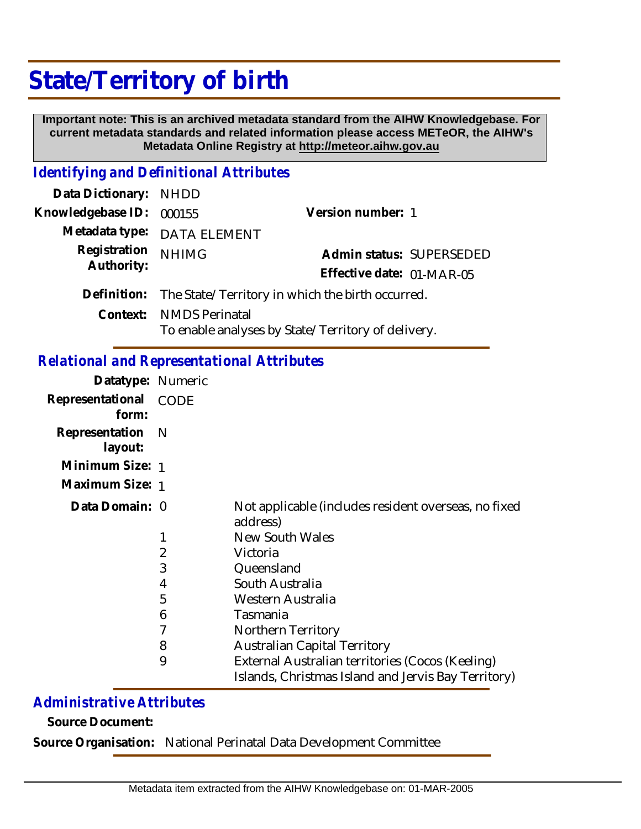# **State/Territory of birth**

 **Important note: This is an archived metadata standard from the AIHW Knowledgebase. For current metadata standards and related information please access METeOR, the AIHW's Metadata Online Registry at http://meteor.aihw.gov.au**

### *Identifying and Definitional Attributes*

| Data Dictionary: NHDD    |                                                              |                                                    |                          |
|--------------------------|--------------------------------------------------------------|----------------------------------------------------|--------------------------|
| Knowledgebase ID: 000155 |                                                              | Version number: 1                                  |                          |
|                          | Metadata type: DATA ELEMENT                                  |                                                    |                          |
| Registration             | <b>NHIMG</b>                                                 |                                                    | Admin status: SUPERSEDED |
| Authority:               |                                                              | Effective date: 01-MAR-05                          |                          |
|                          | Definition: The State/Territory in which the birth occurred. |                                                    |                          |
|                          | Context: NMDS Perinatal                                      | To enable analyses by State/Territory of delivery. |                          |

## *Relational and Representational Attributes*

| Datatype: Numeric         |                |                                                                  |
|---------------------------|----------------|------------------------------------------------------------------|
| Representational<br>form: | CODE           |                                                                  |
| Representation<br>layout: | – N            |                                                                  |
| Minimum Size: 1           |                |                                                                  |
| Maximum Size: 1           |                |                                                                  |
| Data Domain: 0            |                | Not applicable (includes resident overseas, no fixed<br>address) |
|                           |                | <b>New South Wales</b>                                           |
|                           | $\overline{2}$ | Victoria                                                         |
|                           | 3              | Queensland                                                       |
|                           | 4              | South Australia                                                  |
|                           | 5              | Western Australia                                                |
|                           | 6              | Tasmania                                                         |
|                           | 7              | Northern Territory                                               |
|                           | 8              | <b>Australian Capital Territory</b>                              |
|                           | 9              | External Australian territories (Cocos (Keeling)                 |
|                           |                | Islands, Christmas Island and Jervis Bay Territory)              |

## *Administrative Attributes*

**Source Document:**

**Source Organisation:** National Perinatal Data Development Committee